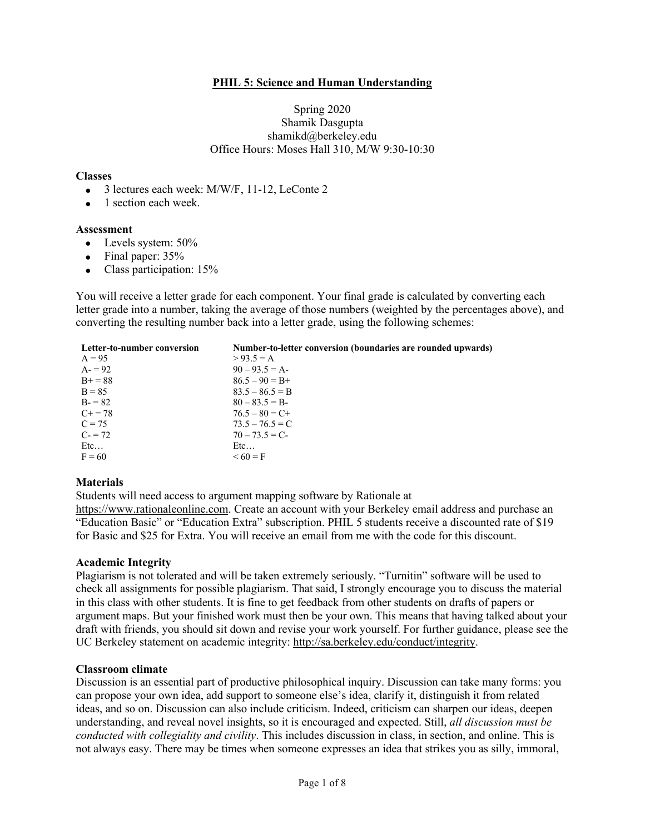## **PHIL 5: Science and Human Understanding**

### Spring 2020 Shamik Dasgupta shamikd@berkeley.edu Office Hours: Moses Hall 310, M/W 9:30-10:30

#### **Classes**

- 3 lectures each week: M/W/F, 11-12, LeConte 2
- 1 section each week.

#### **Assessment**

- Levels system: 50%
- Final paper: 35%
- Class participation: 15%

You will receive a letter grade for each component. Your final grade is calculated by converting each letter grade into a number, taking the average of those numbers (weighted by the percentages above), and converting the resulting number back into a letter grade, using the following schemes:

| Letter-to-number conversion | Number-to-letter conversion (boundaries are rounded upwards) |
|-----------------------------|--------------------------------------------------------------|
| $A = 95$                    | $> 93.5 = A$                                                 |
| $A = 92$                    | $90 - 93.5 = A$                                              |
| $B+=88$                     | $86.5 - 90 = B +$                                            |
| $B = 85$                    | $83.5 - 86.5 = B$                                            |
| $B = 82$                    | $80 - 83.5 = B$                                              |
| $C_{+} = 78$                | $76.5 - 80 = C +$                                            |
| $C = 75$                    | $73.5 - 76.5 = C$                                            |
| $C = 72$                    | $70 - 73.5 = C$                                              |
| Etc                         | Etc                                                          |
| $F = 60$                    | $< 60 = F$                                                   |

#### **Materials**

Students will need access to argument mapping software by Rationale at

https://www.rationaleonline.com. Create an account with your Berkeley email address and purchase an "Education Basic" or "Education Extra" subscription. PHIL 5 students receive a discounted rate of \$19 for Basic and \$25 for Extra. You will receive an email from me with the code for this discount.

#### **Academic Integrity**

Plagiarism is not tolerated and will be taken extremely seriously. "Turnitin" software will be used to check all assignments for possible plagiarism. That said, I strongly encourage you to discuss the material in this class with other students. It is fine to get feedback from other students on drafts of papers or argument maps. But your finished work must then be your own. This means that having talked about your draft with friends, you should sit down and revise your work yourself. For further guidance, please see the UC Berkeley statement on academic integrity: http://sa.berkeley.edu/conduct/integrity.

#### **Classroom climate**

Discussion is an essential part of productive philosophical inquiry. Discussion can take many forms: you can propose your own idea, add support to someone else's idea, clarify it, distinguish it from related ideas, and so on. Discussion can also include criticism. Indeed, criticism can sharpen our ideas, deepen understanding, and reveal novel insights, so it is encouraged and expected. Still, *all discussion must be conducted with collegiality and civility*. This includes discussion in class, in section, and online. This is not always easy. There may be times when someone expresses an idea that strikes you as silly, immoral,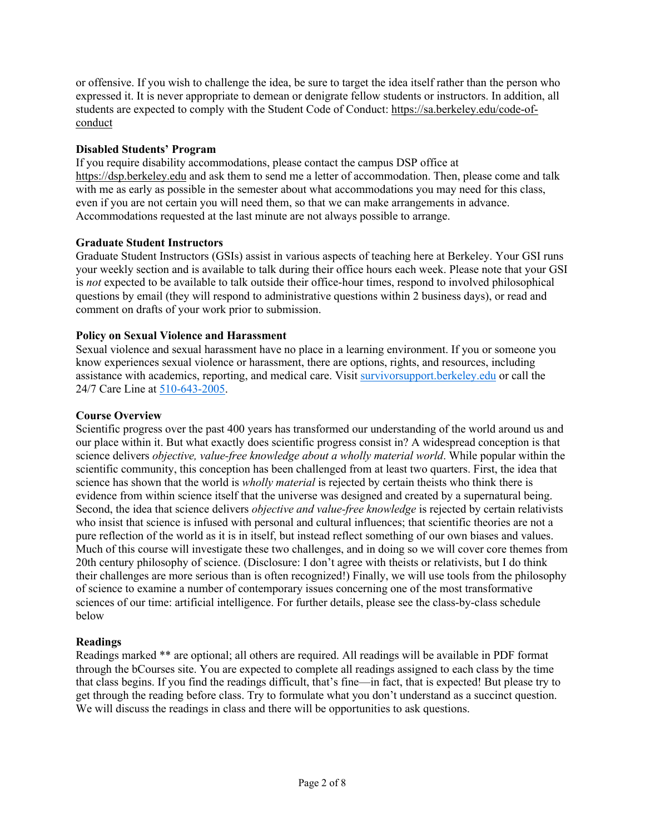or offensive. If you wish to challenge the idea, be sure to target the idea itself rather than the person who expressed it. It is never appropriate to demean or denigrate fellow students or instructors. In addition, all students are expected to comply with the Student Code of Conduct: https://sa.berkeley.edu/code-ofconduct

## **Disabled Students' Program**

If you require disability accommodations, please contact the campus DSP office at https://dsp.berkeley.edu and ask them to send me a letter of accommodation. Then, please come and talk with me as early as possible in the semester about what accommodations you may need for this class, even if you are not certain you will need them, so that we can make arrangements in advance. Accommodations requested at the last minute are not always possible to arrange.

## **Graduate Student Instructors**

Graduate Student Instructors (GSIs) assist in various aspects of teaching here at Berkeley. Your GSI runs your weekly section and is available to talk during their office hours each week. Please note that your GSI is *not* expected to be available to talk outside their office-hour times, respond to involved philosophical questions by email (they will respond to administrative questions within 2 business days), or read and comment on drafts of your work prior to submission.

## **Policy on Sexual Violence and Harassment**

Sexual violence and sexual harassment have no place in a learning environment. If you or someone you know experiences sexual violence or harassment, there are options, rights, and resources, including assistance with academics, reporting, and medical care. Visit survivorsupport.berkeley.edu or call the 24/7 Care Line at 510-643-2005.

### **Course Overview**

Scientific progress over the past 400 years has transformed our understanding of the world around us and our place within it. But what exactly does scientific progress consist in? A widespread conception is that science delivers *objective, value-free knowledge about a wholly material world*. While popular within the scientific community, this conception has been challenged from at least two quarters. First, the idea that science has shown that the world is *wholly material* is rejected by certain theists who think there is evidence from within science itself that the universe was designed and created by a supernatural being. Second, the idea that science delivers *objective and value-free knowledge* is rejected by certain relativists who insist that science is infused with personal and cultural influences; that scientific theories are not a pure reflection of the world as it is in itself, but instead reflect something of our own biases and values. Much of this course will investigate these two challenges, and in doing so we will cover core themes from 20th century philosophy of science. (Disclosure: I don't agree with theists or relativists, but I do think their challenges are more serious than is often recognized!) Finally, we will use tools from the philosophy of science to examine a number of contemporary issues concerning one of the most transformative sciences of our time: artificial intelligence. For further details, please see the class-by-class schedule below

#### **Readings**

Readings marked \*\* are optional; all others are required. All readings will be available in PDF format through the bCourses site. You are expected to complete all readings assigned to each class by the time that class begins. If you find the readings difficult, that's fine—in fact, that is expected! But please try to get through the reading before class. Try to formulate what you don't understand as a succinct question. We will discuss the readings in class and there will be opportunities to ask questions.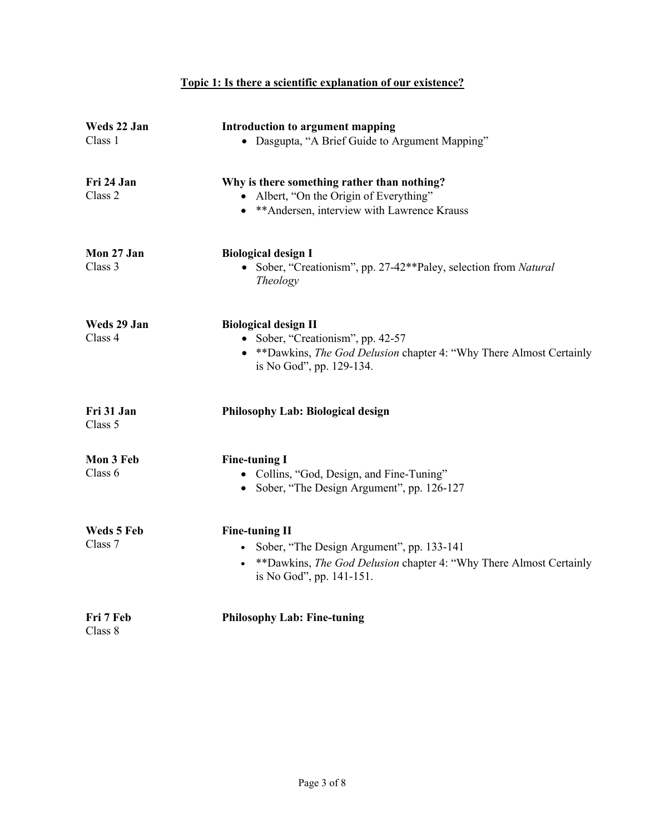# **Topic 1: Is there a scientific explanation of our existence?**

| Weds 22 Jan<br>Class 1 | <b>Introduction to argument mapping</b><br>• Dasgupta, "A Brief Guide to Argument Mapping"                                                                               |
|------------------------|--------------------------------------------------------------------------------------------------------------------------------------------------------------------------|
| Fri 24 Jan<br>Class 2  | Why is there something rather than nothing?<br>• Albert, "On the Origin of Everything"<br>• ** Andersen, interview with Lawrence Krauss                                  |
| Mon 27 Jan<br>Class 3  | <b>Biological design I</b><br>• Sober, "Creationism", pp. 27-42**Paley, selection from Natural<br>Theology                                                               |
| Weds 29 Jan<br>Class 4 | <b>Biological design II</b><br>• Sober, "Creationism", pp. 42-57<br>• ** Dawkins, The God Delusion chapter 4: "Why There Almost Certainly<br>is No God", pp. 129-134.    |
| Fri 31 Jan<br>Class 5  | Philosophy Lab: Biological design                                                                                                                                        |
| Mon 3 Feb<br>Class 6   | <b>Fine-tuning I</b><br>• Collins, "God, Design, and Fine-Tuning"<br>• Sober, "The Design Argument", pp. 126-127                                                         |
| Weds 5 Feb<br>Class 7  | <b>Fine-tuning II</b><br>• Sober, "The Design Argument", pp. 133-141<br>• **Dawkins, The God Delusion chapter 4: "Why There Almost Certainly<br>is No God", pp. 141-151. |
| Fri 7 Feb<br>Class 8   | <b>Philosophy Lab: Fine-tuning</b>                                                                                                                                       |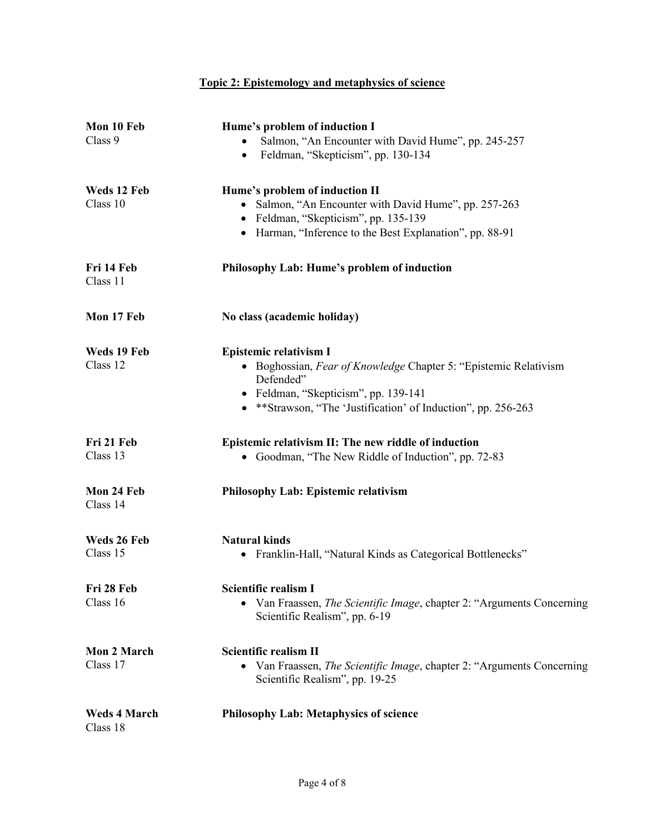# **Topic 2: Epistemology and metaphysics of science**

| Mon 10 Feb<br>Class 9           | Hume's problem of induction I<br>Salmon, "An Encounter with David Hume", pp. 245-257<br>Feldman, "Skepticism", pp. 130-134<br>$\bullet$                                                                                  |
|---------------------------------|--------------------------------------------------------------------------------------------------------------------------------------------------------------------------------------------------------------------------|
| Weds 12 Feb<br>Class 10         | Hume's problem of induction II<br>• Salmon, "An Encounter with David Hume", pp. 257-263<br>• Feldman, "Skepticism", pp. 135-139<br>• Harman, "Inference to the Best Explanation", pp. 88-91                              |
| Fri 14 Feb<br>Class 11          | Philosophy Lab: Hume's problem of induction                                                                                                                                                                              |
| Mon 17 Feb                      | No class (academic holiday)                                                                                                                                                                                              |
| Weds 19 Feb<br>Class 12         | <b>Epistemic relativism I</b><br>• Boghossian, Fear of Knowledge Chapter 5: "Epistemic Relativism"<br>Defended"<br>• Feldman, "Skepticism", pp. 139-141<br>• **Strawson, "The 'Justification' of Induction", pp. 256-263 |
| Fri 21 Feb<br>Class 13          | Epistemic relativism II: The new riddle of induction<br>• Goodman, "The New Riddle of Induction", pp. 72-83                                                                                                              |
| Mon 24 Feb<br>Class 14          | <b>Philosophy Lab: Epistemic relativism</b>                                                                                                                                                                              |
| Weds 26 Feb<br>Class 15         | <b>Natural kinds</b><br>Franklin-Hall, "Natural Kinds as Categorical Bottlenecks"                                                                                                                                        |
| Fri 28 Feb<br>Class 16          | Scientific realism I<br>Van Fraassen, <i>The Scientific Image</i> , chapter 2: "Arguments Concerning<br>Scientific Realism", pp. 6-19                                                                                    |
| <b>Mon 2 March</b><br>Class 17  | <b>Scientific realism II</b><br>Van Fraassen, The Scientific Image, chapter 2: "Arguments Concerning<br>$\bullet$<br>Scientific Realism", pp. 19-25                                                                      |
| <b>Weds 4 March</b><br>Class 18 | <b>Philosophy Lab: Metaphysics of science</b>                                                                                                                                                                            |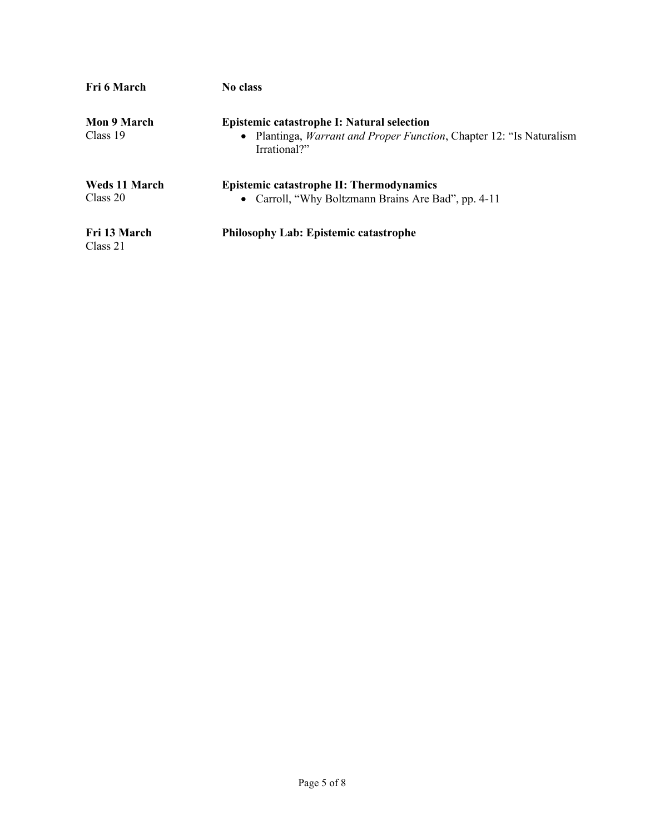| Fri 6 March          | No class                                                                                     |
|----------------------|----------------------------------------------------------------------------------------------|
| Mon 9 March          | Epistemic catastrophe I: Natural selection                                                   |
| Class 19             | • Plantinga, <i>Warrant and Proper Function</i> , Chapter 12: "Is Naturalism<br>Irrational?" |
| <b>Weds 11 March</b> | <b>Epistemic catastrophe II: Thermodynamics</b>                                              |
| Class 20             | • Carroll, "Why Boltzmann Brains Are Bad", pp. 4-11                                          |
| Fri 13 March         | <b>Philosophy Lab: Epistemic catastrophe</b>                                                 |
| Class 21             |                                                                                              |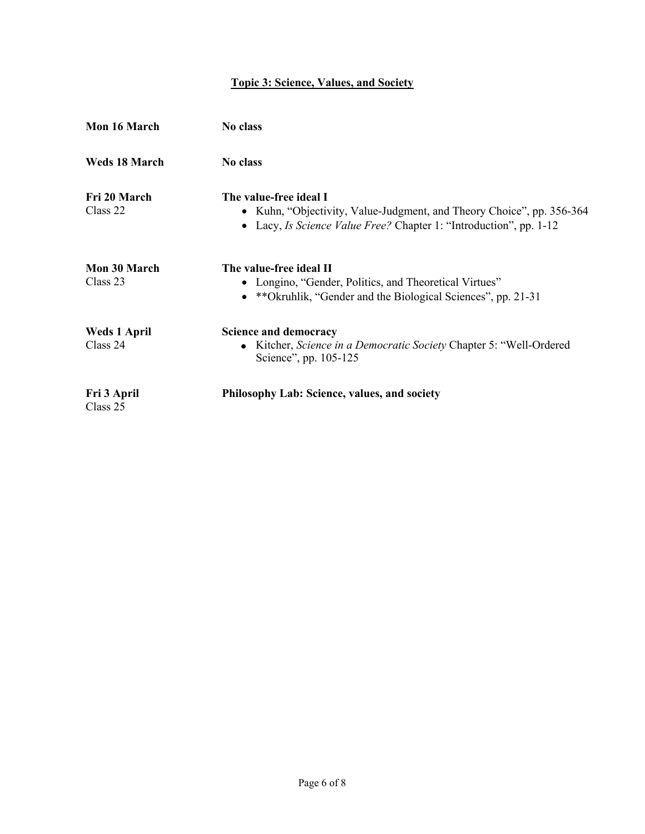# **Topic 3: Science, Values, and Society**

| Mon 16 March                    | No class                                                                                                                                                              |
|---------------------------------|-----------------------------------------------------------------------------------------------------------------------------------------------------------------------|
| <b>Weds 18 March</b>            | No class                                                                                                                                                              |
| Fri 20 March<br>Class 22        | The value-free ideal I<br>• Kuhn, "Objectivity, Value-Judgment, and Theory Choice", pp. 356-364<br>• Lacy, Is Science Value Free? Chapter 1: "Introduction", pp. 1-12 |
| <b>Mon 30 March</b><br>Class 23 | The value-free ideal II<br>• Longino, "Gender, Politics, and Theoretical Virtues"<br>• **Okruhlik, "Gender and the Biological Sciences", pp. 21-31                    |
| <b>Weds 1 April</b><br>Class 24 | <b>Science and democracy</b><br>• Kitcher, Science in a Democratic Society Chapter 5: "Well-Ordered<br>Science", pp. 105-125                                          |
| Fri 3 April<br>Class 25         | Philosophy Lab: Science, values, and society                                                                                                                          |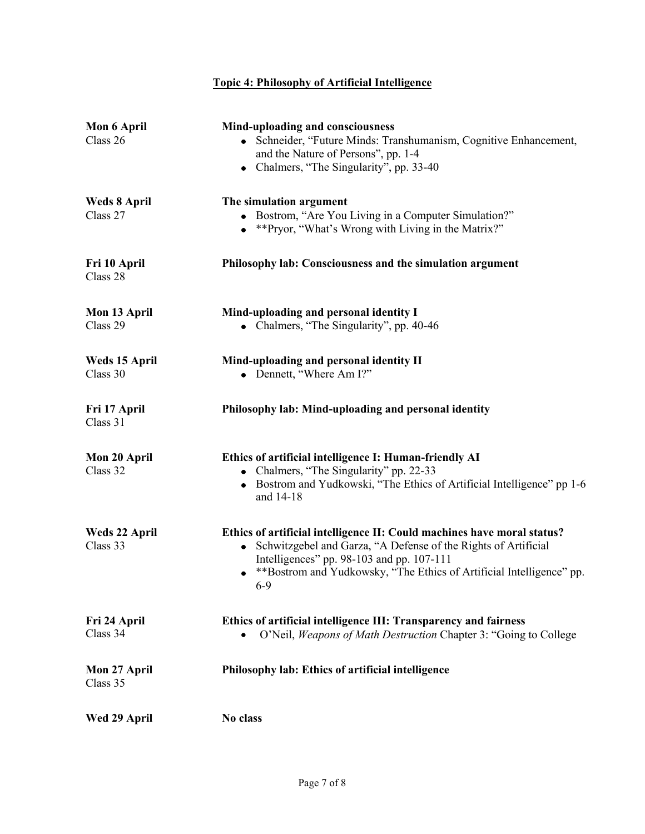# **Topic 4: Philosophy of Artificial Intelligence**

| Mon 6 April<br>Class 26   | Mind-uploading and consciousness<br>• Schneider, "Future Minds: Transhumanism, Cognitive Enhancement,<br>and the Nature of Persons", pp. 1-4<br>Chalmers, "The Singularity", pp. 33-40                                                                                  |
|---------------------------|-------------------------------------------------------------------------------------------------------------------------------------------------------------------------------------------------------------------------------------------------------------------------|
| Weds 8 April<br>Class 27  | The simulation argument<br>• Bostrom, "Are You Living in a Computer Simulation?"<br>• ** Pryor, "What's Wrong with Living in the Matrix?"                                                                                                                               |
| Fri 10 April<br>Class 28  | Philosophy lab: Consciousness and the simulation argument                                                                                                                                                                                                               |
| Mon 13 April<br>Class 29  | Mind-uploading and personal identity I<br>• Chalmers, "The Singularity", pp. 40-46                                                                                                                                                                                      |
| Weds 15 April<br>Class 30 | Mind-uploading and personal identity II<br>• Dennett, "Where Am I?"                                                                                                                                                                                                     |
| Fri 17 April<br>Class 31  | Philosophy lab: Mind-uploading and personal identity                                                                                                                                                                                                                    |
| Mon 20 April<br>Class 32  | Ethics of artificial intelligence I: Human-friendly AI<br>• Chalmers, "The Singularity" pp. 22-33<br>• Bostrom and Yudkowski, "The Ethics of Artificial Intelligence" pp 1-6<br>and 14-18                                                                               |
| Weds 22 April<br>Class 33 | Ethics of artificial intelligence II: Could machines have moral status?<br>Schwitzgebel and Garza, "A Defense of the Rights of Artificial<br>Intelligences" pp. 98-103 and pp. 107-111<br>**Bostrom and Yudkowsky, "The Ethics of Artificial Intelligence" pp.<br>$6-9$ |
| Fri 24 April<br>Class 34  | Ethics of artificial intelligence III: Transparency and fairness<br>O'Neil, Weapons of Math Destruction Chapter 3: "Going to College                                                                                                                                    |
| Mon 27 April<br>Class 35  | Philosophy lab: Ethics of artificial intelligence                                                                                                                                                                                                                       |
| Wed 29 April              | No class                                                                                                                                                                                                                                                                |